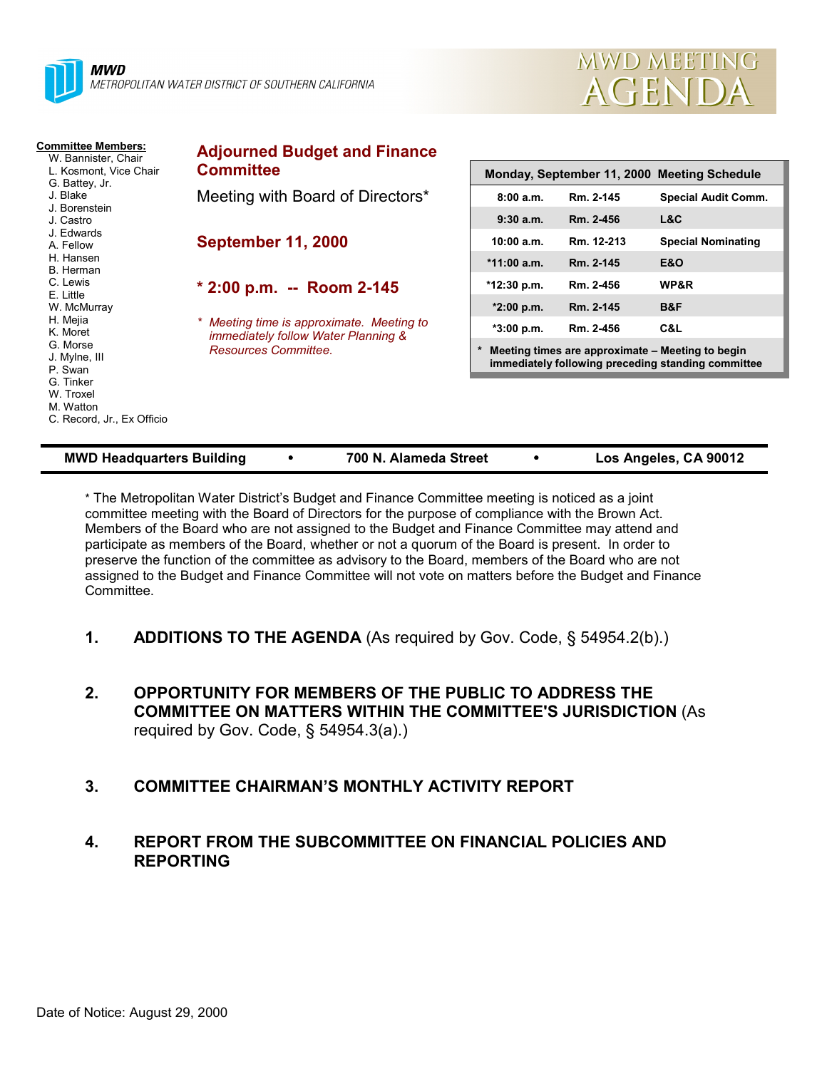



| <b>Committee Members:</b><br>W. Bannister, Chair<br>L. Kosmont. Vice Chair<br>G. Battey, Jr.<br>J. Blake<br>J. Borenstein<br>J. Castro<br>J. Edwards<br>A. Fellow<br>H. Hansen | <b>Adjourned Budget and Finance</b><br><b>Committee</b><br>Monday, September 11, 2000 Meeting Schedule   |                                                                                                        |                         |                                   |  |  |  |
|--------------------------------------------------------------------------------------------------------------------------------------------------------------------------------|----------------------------------------------------------------------------------------------------------|--------------------------------------------------------------------------------------------------------|-------------------------|-----------------------------------|--|--|--|
|                                                                                                                                                                                | Meeting with Board of Directors*                                                                         | 8:00a.m.<br>$9:30$ a.m.                                                                                | Rm. 2-145<br>Rm. 2-456  | <b>Special Audit Comm.</b><br>L&C |  |  |  |
|                                                                                                                                                                                | <b>September 11, 2000</b>                                                                                | 10:00 a.m.<br>$*11:00$ a.m.                                                                            | Rm. 12-213<br>Rm. 2-145 | <b>Special Nominating</b><br>E&O  |  |  |  |
| B. Herman<br>C. Lewis<br>E. Little                                                                                                                                             | $*$ 2:00 p.m. -- Room 2-145                                                                              | *12:30 p.m.                                                                                            | Rm. 2-456               | WP&R                              |  |  |  |
| W. McMurray<br>H. Mejia<br>K. Moret<br>G. Morse<br>J. Mylne, III<br>P. Swan<br>G. Tinker<br>W. Troxel<br>M. Watton<br>C. Record, Jr., Ex Officio                               | * Meeting time is approximate. Meeting to<br>immediately follow Water Planning &<br>Resources Committee. | $*2:00$ p.m.<br>$*3:00 p.m.$                                                                           | Rm. 2-145<br>Rm. 2-456  | B&F<br>C&L                        |  |  |  |
|                                                                                                                                                                                |                                                                                                          | Meeting times are approximate - Meeting to begin<br>immediately following preceding standing committee |                         |                                   |  |  |  |
|                                                                                                                                                                                |                                                                                                          |                                                                                                        |                         |                                   |  |  |  |

| <b>MWD Headquarters Building</b> |  | 700 N. Alameda Street |  | Los Angeles, CA 90012 |
|----------------------------------|--|-----------------------|--|-----------------------|
|----------------------------------|--|-----------------------|--|-----------------------|

\* The Metropolitan Water District's Budget and Finance Committee meeting is noticed as a joint committee meeting with the Board of Directors for the purpose of compliance with the Brown Act. Members of the Board who are not assigned to the Budget and Finance Committee may attend and participate as members of the Board, whether or not a quorum of the Board is present. In order to preserve the function of the committee as advisory to the Board, members of the Board who are not assigned to the Budget and Finance Committee will not vote on matters before the Budget and Finance **Committee.** 

- **1. ADDITIONS TO THE AGENDA** (As required by Gov. Code, § 54954.2(b).)
- **2. OPPORTUNITY FOR MEMBERS OF THE PUBLIC TO ADDRESS THE COMMITTEE ON MATTERS WITHIN THE COMMITTEE'S JURISDICTION** (As required by Gov. Code, § 54954.3(a).)

## **3. COMMITTEE CHAIRMAN'S MONTHLY ACTIVITY REPORT**

#### **4. REPORT FROM THE SUBCOMMITTEE ON FINANCIAL POLICIES AND REPORTING**